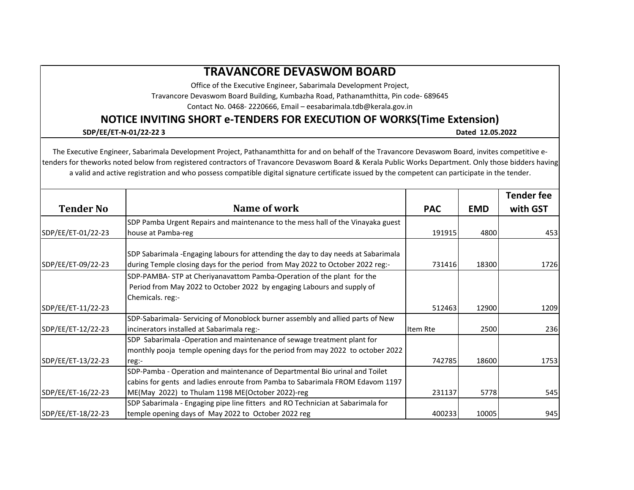## **TRAVANCORE DEVASWOM BOARD**

Office of the Executive Engineer, Sabarimala Development Project,

Travancore Devaswom Board Building, Kumbazha Road, Pathanamthitta, Pin code- 689645

Contact No. 0468- 2220666, Email – eesabarimala.tdb@kerala.gov.in

## **NOTICE INVITING SHORT e-TENDERS FOR EXECUTION OF WORKS(Time Extension)**

## **SDP/EE/ET-N-01/22-22 3 Dated 12.05.2022**

The Executive Engineer, Sabarimala Development Project, Pathanamthitta for and on behalf of the Travancore Devaswom Board, invites competitive etenders for theworks noted below from registered contractors of Travancore Devaswom Board & Kerala Public Works Department. Only those bidders having a valid and active registration and who possess compatible digital signature certificate issued by the competent can participate in the tender.

| <b>Tender No</b>   | Name of work                                                                       | <b>PAC</b> | <b>EMD</b> | <b>Tender fee</b><br>with GST |
|--------------------|------------------------------------------------------------------------------------|------------|------------|-------------------------------|
|                    | SDP Pamba Urgent Repairs and maintenance to the mess hall of the Vinayaka guest    |            |            |                               |
| SDP/EE/ET-01/22-23 | house at Pamba-reg                                                                 | 191915     | 4800       | 453                           |
|                    | SDP Sabarimala - Engaging labours for attending the day to day needs at Sabarimala |            |            |                               |
| SDP/EE/ET-09/22-23 | during Temple closing days for the period from May 2022 to October 2022 reg:-      | 731416     | 18300      | 1726                          |
|                    | SDP-PAMBA- STP at Cheriyanavattom Pamba-Operation of the plant for the             |            |            |                               |
|                    | Period from May 2022 to October 2022 by engaging Labours and supply of             |            |            |                               |
|                    | Chemicals. reg:-                                                                   |            |            |                               |
| SDP/EE/ET-11/22-23 |                                                                                    | 512463     | 12900      | 1209                          |
|                    | SDP-Sabarimala- Servicing of Monoblock burner assembly and allied parts of New     |            |            |                               |
| SDP/EE/ET-12/22-23 | incinerators installed at Sabarimala reg:-                                         | Item Rte   | 2500       | 236                           |
|                    | SDP Sabarimala -Operation and maintenance of sewage treatment plant for            |            |            |                               |
|                    | monthly pooja temple opening days for the period from may 2022 to october 2022     |            |            |                               |
| SDP/EE/ET-13/22-23 | reg:-                                                                              | 742785     | 18600      | 1753                          |
|                    | SDP-Pamba - Operation and maintenance of Departmental Bio urinal and Toilet        |            |            |                               |
|                    | cabins for gents and ladies enroute from Pamba to Sabarimala FROM Edavom 1197      |            |            |                               |
| SDP/EE/ET-16/22-23 | ME(May 2022) to Thulam 1198 ME(October 2022)-reg                                   | 231137     | 5778       | 545                           |
|                    | SDP Sabarimala - Engaging pipe line fitters and RO Technician at Sabarimala for    |            |            |                               |
| SDP/EE/ET-18/22-23 | temple opening days of May 2022 to October 2022 reg                                | 400233     | 10005      | 945                           |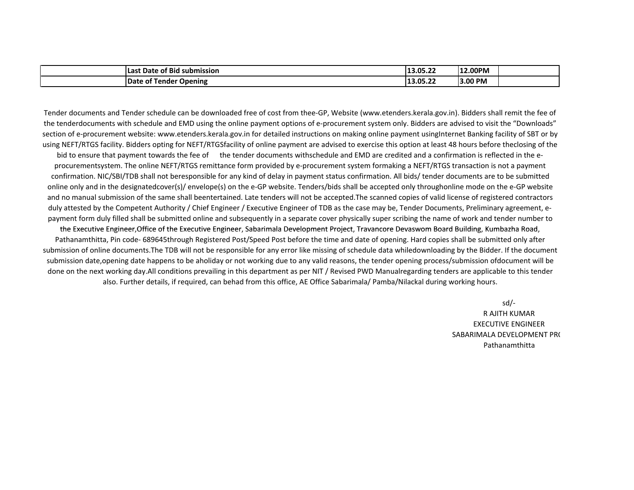| of Bid<br>l Last<br>submission!<br>Date               | 13.05.22 | 12.00PM |  |
|-------------------------------------------------------|----------|---------|--|
| <b>Date</b><br><sup>.</sup> Opening<br>Tender<br>: ot | 13.05.22 | 3.00 PM |  |

Tender documents and Tender schedule can be downloaded free of cost from thee-GP, Website (www.etenders.kerala.gov.in). Bidders shall remit the fee of the tenderdocuments with schedule and EMD using the online payment options of e-procurement system only. Bidders are advised to visit the "Downloads" section of e-procurement website: www.etenders.kerala.gov.in for detailed instructions on making online payment usingInternet Banking facility of SBT or by using NEFT/RTGS facility. Bidders opting for NEFT/RTGSfacility of online payment are advised to exercise this option at least 48 hours before theclosing of the

bid to ensure that payment towards the fee of the tender documents withschedule and EMD are credited and a confirmation is reflected in the eprocurementsystem. The online NEFT/RTGS remittance form provided by e-procurement system formaking a NEFT/RTGS transaction is not a payment confirmation. NIC/SBI/TDB shall not beresponsible for any kind of delay in payment status confirmation. All bids/ tender documents are to be submitted online only and in the designatedcover(s)/ envelope(s) on the e-GP website. Tenders/bids shall be accepted only throughonline mode on the e-GP website and no manual submission of the same shall beentertained. Late tenders will not be accepted.The scanned copies of valid license of registered contractors duly attested by the Competent Authority / Chief Engineer / Executive Engineer of TDB as the case may be, Tender Documents, Preliminary agreement, epayment form duly filled shall be submitted online and subsequently in a separate cover physically super scribing the name of work and tender number to

the Executive Engineer,Office of the Executive Engineer, Sabarimala Development Project, Travancore Devaswom Board Building, Kumbazha Road, Pathanamthitta, Pin code- 689645through Registered Post/Speed Post before the time and date of opening. Hard copies shall be submitted only after submission of online documents.The TDB will not be responsible for any error like missing of schedule data whiledownloading by the Bidder. If the document submission date,opening date happens to be aholiday or not working due to any valid reasons, the tender opening process/submission ofdocument will be done on the next working day.All conditions prevailing in this department as per NIT / Revised PWD Manualregarding tenders are applicable to this tender also. Further details, if required, can behad from this office, AE Office Sabarimala/ Pamba/Nilackal during working hours.

sd/-

SABARIMALA DEVELOPMENT PRO Pathanamthitta R AJITH KUMAR EXECUTIVE ENGINEER